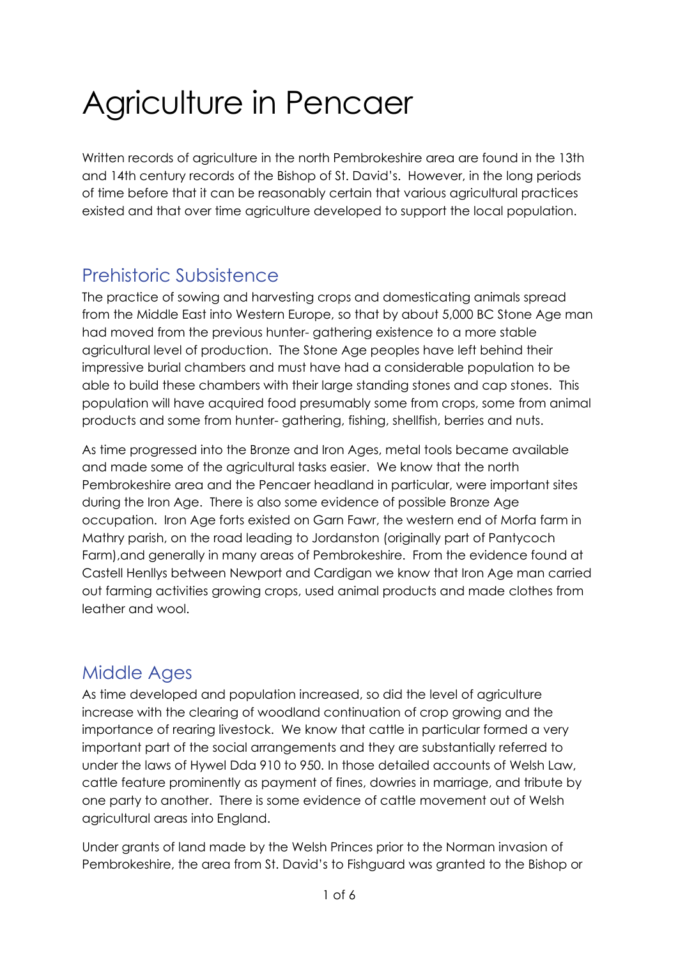# Agriculture in Pencaer

Written records of agriculture in the north Pembrokeshire area are found in the 13th and 14th century records of the Bishop of St. David's. However, in the long periods of time before that it can be reasonably certain that various agricultural practices existed and that over time agriculture developed to support the local population.

## Prehistoric Subsistence

The practice of sowing and harvesting crops and domesticating animals spread from the Middle East into Western Europe, so that by about 5,000 BC Stone Age man had moved from the previous hunter- gathering existence to a more stable agricultural level of production. The Stone Age peoples have left behind their impressive burial chambers and must have had a considerable population to be able to build these chambers with their large standing stones and cap stones. This population will have acquired food presumably some from crops, some from animal products and some from hunter- gathering, fishing, shellfish, berries and nuts.

As time progressed into the Bronze and Iron Ages, metal tools became available and made some of the agricultural tasks easier. We know that the north Pembrokeshire area and the Pencaer headland in particular, were important sites during the Iron Age. There is also some evidence of possible Bronze Age occupation. Iron Age forts existed on Garn Fawr, the western end of Morfa farm in Mathry parish, on the road leading to Jordanston (originally part of Pantycoch Farm),and generally in many areas of Pembrokeshire. From the evidence found at Castell Henllys between Newport and Cardigan we know that Iron Age man carried out farming activities growing crops, used animal products and made clothes from leather and wool.

## Middle Ages

As time developed and population increased, so did the level of agriculture increase with the clearing of woodland continuation of crop growing and the importance of rearing livestock. We know that cattle in particular formed a very important part of the social arrangements and they are substantially referred to under the laws of Hywel Dda 910 to 950. In those detailed accounts of Welsh Law, cattle feature prominently as payment of fines, dowries in marriage, and tribute by one party to another. There is some evidence of cattle movement out of Welsh agricultural areas into England.

Under grants of land made by the Welsh Princes prior to the Norman invasion of Pembrokeshire, the area from St. David's to Fishguard was granted to the Bishop or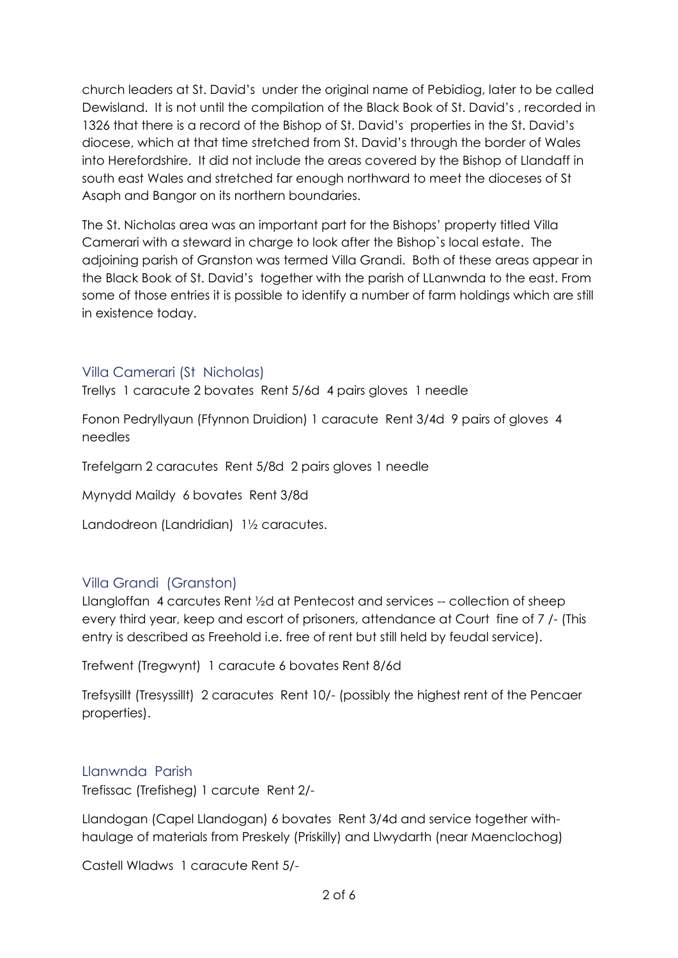church leaders at St. David's under the original name of Pebidiog, later to be called Dewisland. It is not until the compilation of the Black Book of St. David's , recorded in 1326 that there is a record of the Bishop of St. David's properties in the St. David's diocese, which at that time stretched from St. David's through the border of Wales into Herefordshire. It did not include the areas covered by the Bishop of Llandaff in south east Wales and stretched far enough northward to meet the dioceses of St Asaph and Bangor on its northern boundaries.

The St. Nicholas area was an important part for the Bishops' property titled Villa Camerari with a steward in charge to look after the Bishop`s local estate. The adjoining parish of Granston was termed Villa Grandi. Both of these areas appear in the Black Book of St. David's together with the parish of LLanwnda to the east. From some of those entries it is possible to identify a number of farm holdings which are still in existence today.

#### Villa Camerari (St Nicholas)

Trellys 1 caracute 2 bovates Rent 5/6d 4 pairs gloves 1 needle

Fonon Pedryllyaun (Ffynnon Druidion) 1 caracute Rent 3/4d 9 pairs of gloves 4 needles

Trefelgarn 2 caracutes Rent 5/8d 2 pairs gloves 1 needle

Mynydd Maildy 6 bovates Rent 3/8d

Landodreon (Landridian) 1½ caracutes.

#### Villa Grandi (Granston)

Llangloffan 4 carcutes Rent ½d at Pentecost and services -- collection of sheep every third year, keep and escort of prisoners, attendance at Court fine of 7 /- (This entry is described as Freehold i.e. free of rent but still held by feudal service).

Trefwent (Tregwynt) 1 caracute 6 bovates Rent 8/6d

Trefsysillt (Tresyssillt) 2 caracutes Rent 10/- (possibly the highest rent of the Pencaer properties).

#### Llanwnda Parish

Trefissac (Trefisheg) 1 carcute Rent 2/-

Llandogan (Capel Llandogan) 6 bovates Rent 3/4d and service together withhaulage of materials from Preskely (Priskilly) and Llwydarth (near Maenclochog)

Castell Wladws 1 caracute Rent 5/-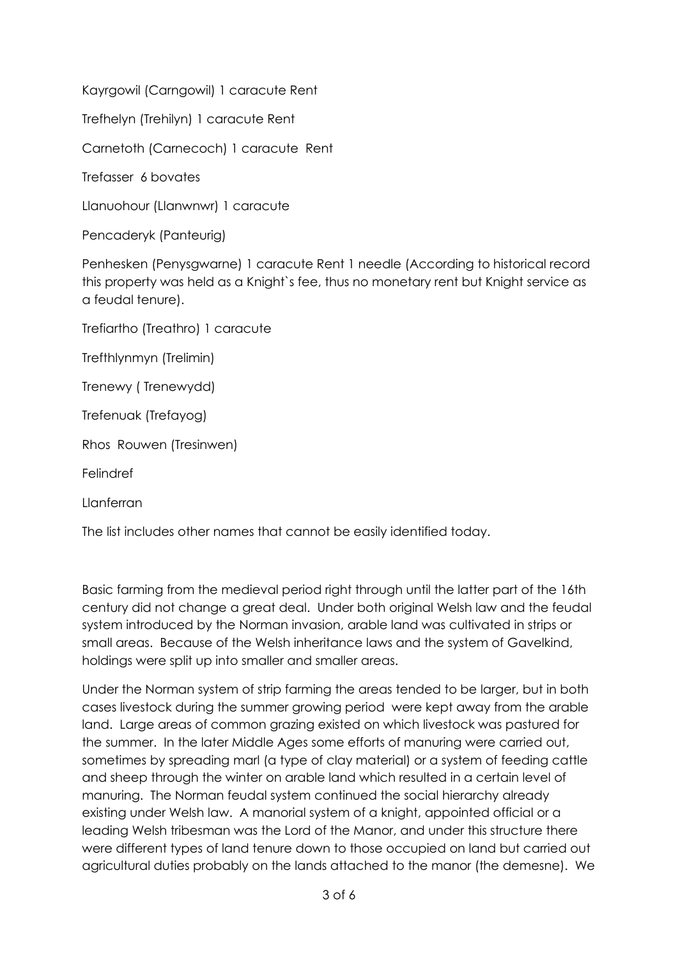Kayrgowil (Carngowil) 1 caracute Rent

Trefhelyn (Trehilyn) 1 caracute Rent

Carnetoth (Carnecoch) 1 caracute Rent

Trefasser 6 bovates

Llanuohour (Llanwnwr) 1 caracute

Pencaderyk (Panteurig)

Penhesken (Penysgwarne) 1 caracute Rent 1 needle (According to historical record this property was held as a Knight`s fee, thus no monetary rent but Knight service as a feudal tenure).

Trefiartho (Treathro) 1 caracute

Trefthlynmyn (Trelimin)

Trenewy ( Trenewydd)

Trefenuak (Trefayog)

Rhos Rouwen (Tresinwen)

Felindref

Llanferran

The list includes other names that cannot be easily identified today.

Basic farming from the medieval period right through until the latter part of the 16th century did not change a great deal. Under both original Welsh law and the feudal system introduced by the Norman invasion, arable land was cultivated in strips or small areas. Because of the Welsh inheritance laws and the system of Gavelkind, holdings were split up into smaller and smaller areas.

Under the Norman system of strip farming the areas tended to be larger, but in both cases livestock during the summer growing period were kept away from the arable land. Large areas of common grazing existed on which livestock was pastured for the summer. In the later Middle Ages some efforts of manuring were carried out, sometimes by spreading marl (a type of clay material) or a system of feeding cattle and sheep through the winter on arable land which resulted in a certain level of manuring. The Norman feudal system continued the social hierarchy already existing under Welsh law. A manorial system of a knight, appointed official or a leading Welsh tribesman was the Lord of the Manor, and under this structure there were different types of land tenure down to those occupied on land but carried out agricultural duties probably on the lands attached to the manor (the demesne). We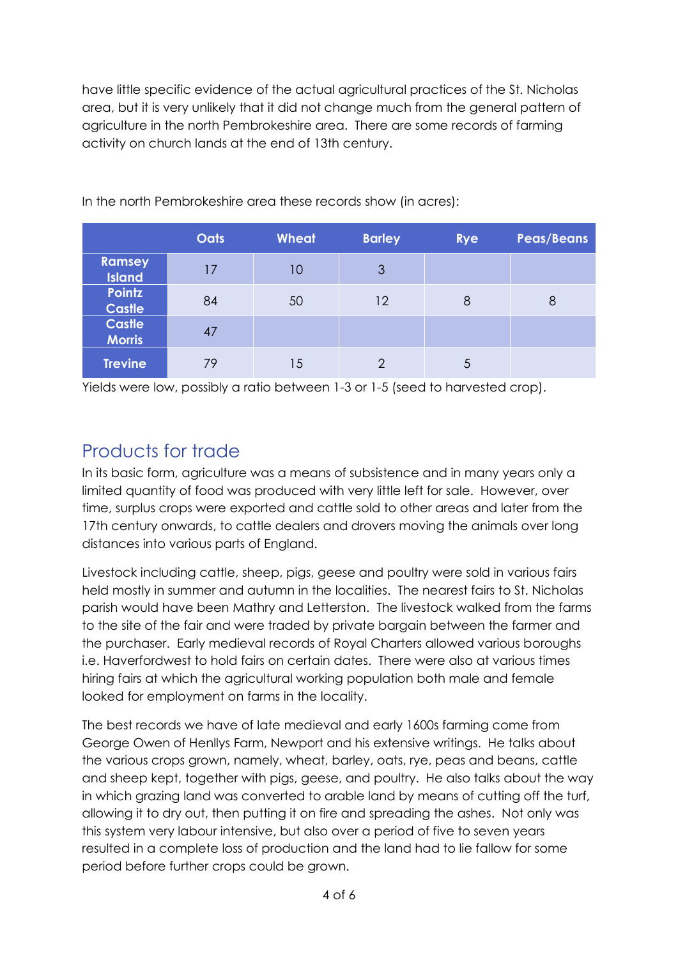have little specific evidence of the actual agricultural practices of the St. Nicholas area, but it is very unlikely that it did not change much from the general pattern of agriculture in the north Pembrokeshire area. There are some records of farming activity on church lands at the end of 13th century.

|                                | <b>Oats</b> | <b>Wheat</b> | <b>Barley</b> | <b>Rye</b> | <b>Peas/Beans</b> |
|--------------------------------|-------------|--------------|---------------|------------|-------------------|
| <b>Ramsey</b><br><b>Island</b> | 17          | 10           | 3             |            |                   |
| <b>Pointz</b><br><b>Castle</b> | 84          | 50           | 12            | 8          | 8                 |
| <b>Castle</b><br><b>Morris</b> | 47          |              |               |            |                   |
| <b>Trevine</b>                 | 79          | 15           | $\mathcal{P}$ | 5          |                   |

In the north Pembrokeshire area these records show (in acres):

Yields were low, possibly a ratio between 1-3 or 1-5 (seed to harvested crop).

## Products for trade

In its basic form, agriculture was a means of subsistence and in many years only a limited quantity of food was produced with very little left for sale. However, over time, surplus crops were exported and cattle sold to other areas and later from the 17th century onwards, to cattle dealers and drovers moving the animals over long distances into various parts of England.

Livestock including cattle, sheep, pigs, geese and poultry were sold in various fairs held mostly in summer and autumn in the localities. The nearest fairs to St. Nicholas parish would have been Mathry and Letterston. The livestock walked from the farms to the site of the fair and were traded by private bargain between the farmer and the purchaser. Early medieval records of Royal Charters allowed various boroughs i.e. Haverfordwest to hold fairs on certain dates. There were also at various times hiring fairs at which the agricultural working population both male and female looked for employment on farms in the locality.

The best records we have of late medieval and early 1600s farming come from George Owen of Henllys Farm, Newport and his extensive writings. He talks about the various crops grown, namely, wheat, barley, oats, rye, peas and beans, cattle and sheep kept, together with pigs, geese, and poultry. He also talks about the way in which grazing land was converted to arable land by means of cutting off the turf, allowing it to dry out, then putting it on fire and spreading the ashes. Not only was this system very labour intensive, but also over a period of five to seven years resulted in a complete loss of production and the land had to lie fallow for some period before further crops could be grown.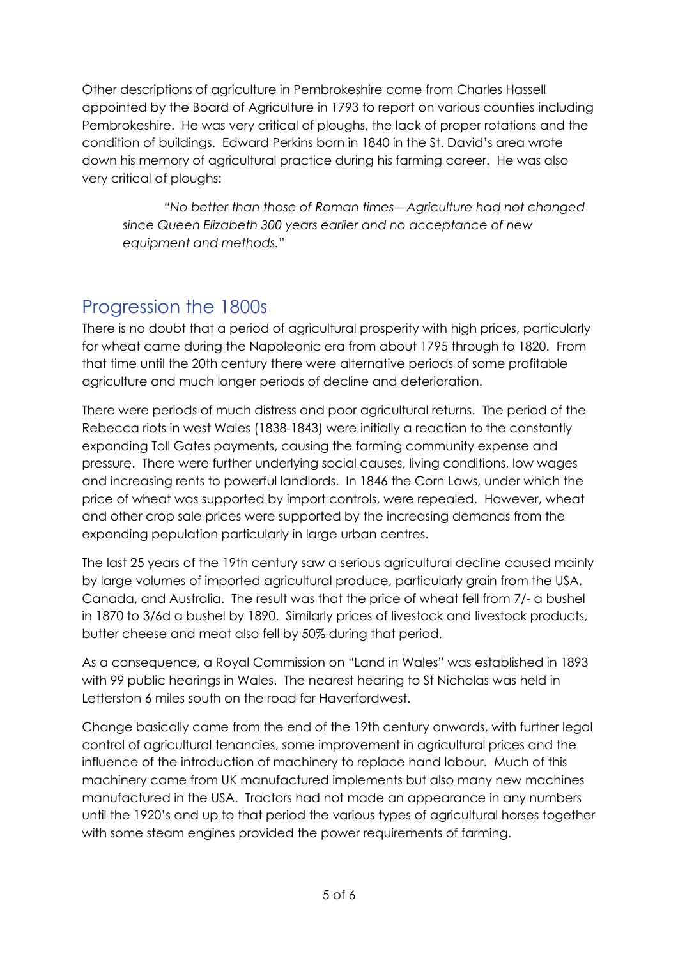Other descriptions of agriculture in Pembrokeshire come from Charles Hassell appointed by the Board of Agriculture in 1793 to report on various counties including Pembrokeshire. He was very critical of ploughs, the lack of proper rotations and the condition of buildings. Edward Perkins born in 1840 in the St. David's area wrote down his memory of agricultural practice during his farming career. He was also very critical of ploughs:

*"No better than those of Roman times—Agriculture had not changed since Queen Elizabeth 300 years earlier and no acceptance of new equipment and methods.*"

## Progression the 1800s

There is no doubt that a period of agricultural prosperity with high prices, particularly for wheat came during the Napoleonic era from about 1795 through to 1820. From that time until the 20th century there were alternative periods of some profitable agriculture and much longer periods of decline and deterioration.

There were periods of much distress and poor agricultural returns. The period of the Rebecca riots in west Wales (1838-1843) were initially a reaction to the constantly expanding Toll Gates payments, causing the farming community expense and pressure. There were further underlying social causes, living conditions, low wages and increasing rents to powerful landlords. In 1846 the Corn Laws, under which the price of wheat was supported by import controls, were repealed. However, wheat and other crop sale prices were supported by the increasing demands from the expanding population particularly in large urban centres.

The last 25 years of the 19th century saw a serious agricultural decline caused mainly by large volumes of imported agricultural produce, particularly grain from the USA, Canada, and Australia. The result was that the price of wheat fell from 7/- a bushel in 1870 to 3/6d a bushel by 1890. Similarly prices of livestock and livestock products, butter cheese and meat also fell by 50% during that period.

As a consequence, a Royal Commission on "Land in Wales" was established in 1893 with 99 public hearings in Wales. The nearest hearing to St Nicholas was held in Letterston 6 miles south on the road for Haverfordwest.

Change basically came from the end of the 19th century onwards, with further legal control of agricultural tenancies, some improvement in agricultural prices and the influence of the introduction of machinery to replace hand labour. Much of this machinery came from UK manufactured implements but also many new machines manufactured in the USA. Tractors had not made an appearance in any numbers until the 1920's and up to that period the various types of agricultural horses together with some steam engines provided the power requirements of farming.